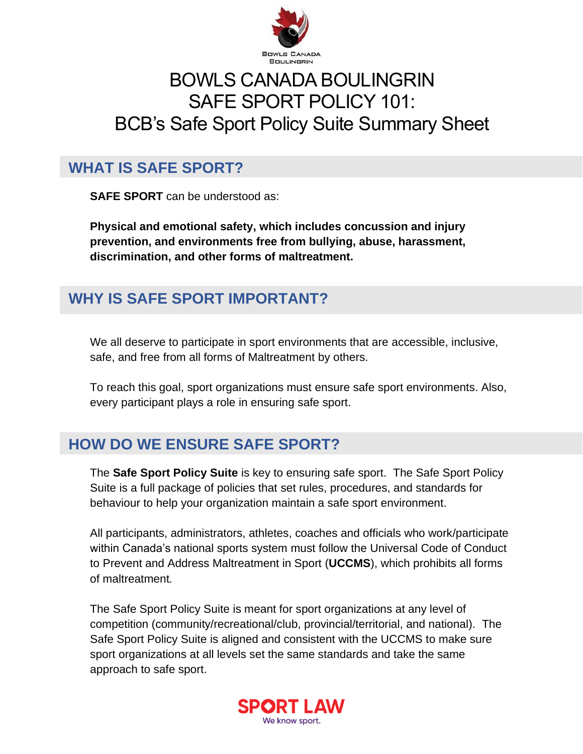

# BOWLS CANADA BOULINGRIN SAFE SPORT POLICY 101: BCB's Safe Sport Policy Suite Summary Sheet

### **WHAT IS SAFE SPORT?**

**SAFE SPORT** can be understood as:

**Physical and emotional safety, which includes concussion and injury prevention, and environments free from bullying, abuse, harassment, discrimination, and other forms of maltreatment.**

## **WHY IS SAFE SPORT IMPORTANT?**

We all deserve to participate in sport environments that are accessible, inclusive, safe, and free from all forms of Maltreatment by others.

To reach this goal, sport organizations must ensure safe sport environments. Also, every participant plays a role in ensuring safe sport.

### **HOW DO WE ENSURE SAFE SPORT?**

The **Safe Sport Policy Suite** is key to ensuring safe sport. The Safe Sport Policy Suite is a full package of policies that set rules, procedures, and standards for behaviour to help your organization maintain a safe sport environment.

All participants, administrators, athletes, coaches and officials who work/participate within Canada's national sports system must follow the Universal Code of Conduct to Prevent and Address Maltreatment in Sport (**UCCMS**), which prohibits all forms of maltreatment*.*

The Safe Sport Policy Suite is meant for sport organizations at any level of competition (community/recreational/club, provincial/territorial, and national). The Safe Sport Policy Suite is aligned and consistent with the UCCMS to make sure sport organizations at all levels set the same standards and take the same approach to safe sport.

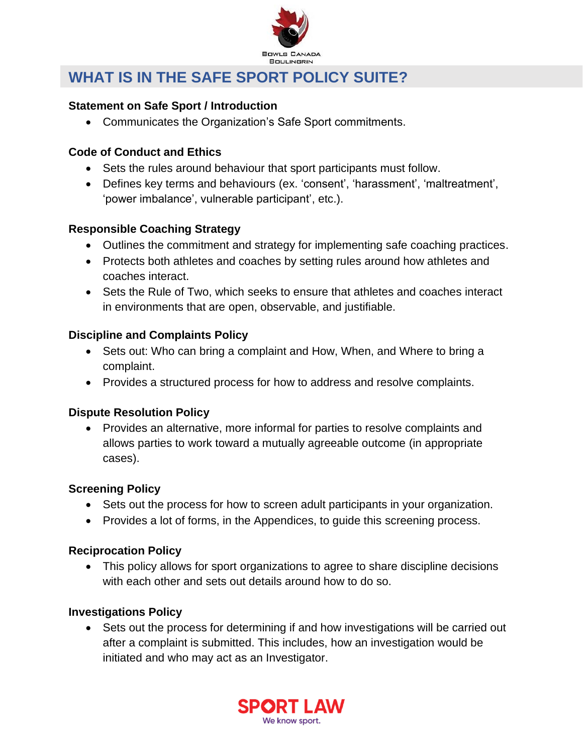

### **WHAT IS IN THE SAFE SPORT POLICY SUITE?**

#### **Statement on Safe Sport / Introduction**

• Communicates the Organization's Safe Sport commitments.

#### **Code of Conduct and Ethics**

- Sets the rules around behaviour that sport participants must follow.
- Defines key terms and behaviours (ex. 'consent', 'harassment', 'maltreatment', 'power imbalance', vulnerable participant', etc.).

#### **Responsible Coaching Strategy**

- Outlines the commitment and strategy for implementing safe coaching practices.
- Protects both athletes and coaches by setting rules around how athletes and coaches interact.
- Sets the Rule of Two, which seeks to ensure that athletes and coaches interact in environments that are open, observable, and justifiable.

#### **Discipline and Complaints Policy**

- Sets out: Who can bring a complaint and How, When, and Where to bring a complaint.
- Provides a structured process for how to address and resolve complaints.

#### **Dispute Resolution Policy**

• Provides an alternative, more informal for parties to resolve complaints and allows parties to work toward a mutually agreeable outcome (in appropriate cases).

#### **Screening Policy**

- Sets out the process for how to screen adult participants in your organization.
- Provides a lot of forms, in the Appendices, to guide this screening process.

#### **Reciprocation Policy**

• This policy allows for sport organizations to agree to share discipline decisions with each other and sets out details around how to do so.

#### **Investigations Policy**

• Sets out the process for determining if and how investigations will be carried out after a complaint is submitted. This includes, how an investigation would be initiated and who may act as an Investigator.